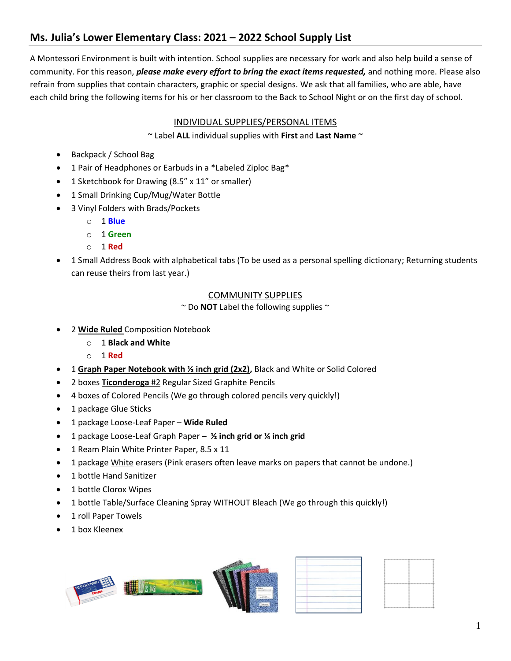# **Ms. Julia's Lower Elementary Class: 2021 – 2022 School Supply List**

A Montessori Environment is built with intention. School supplies are necessary for work and also help build a sense of community. For this reason, *please make every effort to bring the exact items requested,* and nothing more. Please also refrain from supplies that contain characters, graphic or special designs. We ask that all families, who are able, have each child bring the following items for his or her classroom to the Back to School Night or on the first day of school.

## INDIVIDUAL SUPPLIES/PERSONAL ITEMS

~ Label **ALL** individual supplies with **First** and **Last Name** ~

- Backpack / School Bag
- 1 Pair of Headphones or Earbuds in a \*Labeled Ziploc Bag\*
- 1 Sketchbook for Drawing (8.5" x 11" or smaller)
- 1 Small Drinking Cup/Mug/Water Bottle
- 3 Vinyl Folders with Brads/Pockets
	- o 1 **Blue**
	- o 1 **Green**
	- o 1 **Red**
- 1 Small Address Book with alphabetical tabs (To be used as a personal spelling dictionary; Returning students can reuse theirs from last year.)

#### COMMUNITY SUPPLIES

~ Do **NOT** Label the following supplies ~

- 2 **Wide Ruled** Composition Notebook
	- o 1 **Black and White**
	- o 1 **Red**
- 1 **Graph Paper Notebook with ½ inch grid (2x2),** Black and White or Solid Colored
- 2 boxes **Ticonderoga** #2 Regular Sized Graphite Pencils
- 4 boxes of Colored Pencils (We go through colored pencils very quickly!)
- 1 package Glue Sticks
- 1 package Loose-Leaf Paper **Wide Ruled**
- 1 package Loose-Leaf Graph Paper **½ inch grid or ¼ inch grid**
- 1 Ream Plain White Printer Paper, 8.5 x 11
- 1 package White erasers (Pink erasers often leave marks on papers that cannot be undone.)
- 1 bottle Hand Sanitizer
- 1 bottle Clorox Wipes
- 1 bottle Table/Surface Cleaning Spray WITHOUT Bleach (We go through this quickly!)
- 1 roll Paper Towels
- 1 box Kleenex